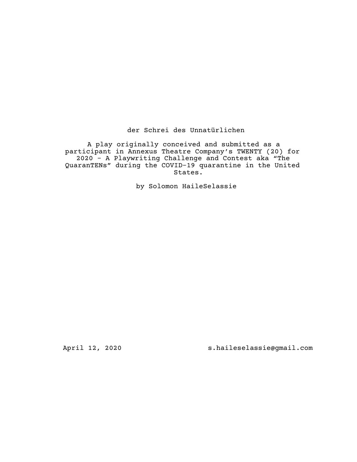der Schrei des Unnatürlichen

A play originally conceived and submitted as a participant in Annexus Theatre Company's TWENTY (20) for 2020 - A Playwriting Challenge and Contest aka "The QuaranTENs" during the COVID-19 quarantine in the United States.

by Solomon HaileSelassie

April 12, 2020 s.haileselassie@gmail.com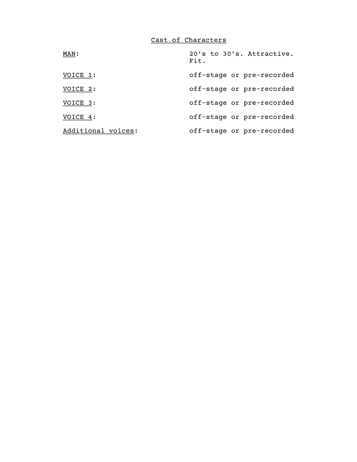Cast of Characters

| MAN:               | 20's to 30's. Attractive.<br>Fit. |
|--------------------|-----------------------------------|
| VOICE 1:           | off-stage or pre-recorded         |
| VOICE 2:           | off-stage or pre-recorded         |
| VOICE 3:           | off-stage or pre-recorded         |
| VOICE 4:           | off-stage or pre-recorded         |
| Additional voices: | off-stage or pre-recorded         |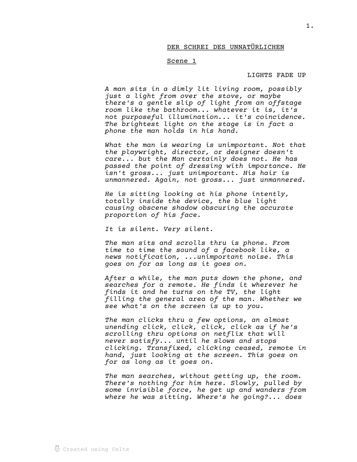## DER SCHREI DES UNNATÜRLICHEN

#### Scene 1

#### LIGHTS FADE UP

A man sits in a dimly lit living room, possibly just a light from over the stove, or maybe there's a gentle slip of light from an offstage room like the bathroom... whatever it is, it's not purposeful illumination... it's coincidence. The brightest light on the stage is in fact a phone the man holds in his hand.

What the man is wearing is unimportant. Not that the playwright, director, or designer doesn't care... but the Man certainly does not. He has passed the point of dressing with importance. He isn't gross... just unimportant. His hair is unmannered. Again, not gross... just unmannered.

He is sitting looking at his phone intently, totally inside the device, the blue light causing obscene shadow obscuring the accurate proportion of his face.

It is silent. Very silent.

The man sits and scrolls thru is phone. From time to time the sound of a facebook like, a news notification, ...unimportant noise. This goes on for as long as it goes on.

After a while, the man puts down the phone, and searches for a remote. He finds it wherever he finds it and he turns on the TV, the light filling the general area of the man. Whether we see what's on the screen is up to you.

The man clicks thru a few options, an almost unending click, click, click, click as if he's scrolling thru options on netflix that will never satisfy... until he slows and stops clicking. Transfixed, clicking ceased, remote in hand, just looking at the screen. This goes on for as long as it goes on.

The man searches, without getting up, the room. There's nothing for him here. Slowly, pulled by some invisible force, he get up and wanders from where he was sitting. Where's he going?... does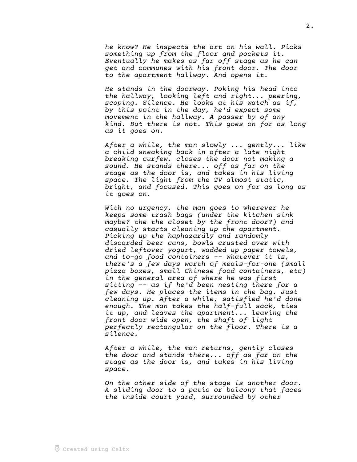he know? He inspects the art on his wall. Picks something up from the floor and pockets it. Eventually he makes as far off stage as he can get and communes with his front door. The door to the apartment hallway. And opens it.

He stands in the doorway. Poking his head into the hallway, looking left and right... peering, scoping. Silence. He looks at his watch as if, by this point in the day, he'd expect some movement in the hallway. A passer by of any kind. But there is not. This goes on for as long as it goes on.

After a while, the man slowly ... gently... like a child sneaking back in after a late night breaking curfew, closes the door not making a sound. He stands there... off as far on the stage as the door is, and takes in his living space. The light from the TV almost static, bright, and focused. This goes on for as long as it goes on.

With no urgency, the man goes to wherever he keeps some trash bags (under the kitchen sink maybe? the the closet by the front door?) and casually starts cleaning up the apartment. Picking up the haphazardly and randomly discarded beer cans, bowls crusted over with dried leftover yogurt, wadded up paper towels, and to-go food containers -- whatever it is, there's a few days worth of meals-for-one (small pizza boxes, small Chinese food containers, etc) in the general area of where he was first sitting -- as if he'd been nesting there for a few days. He places the items in the bag. Just cleaning up. After a while, satisfied he'd done enough. The man takes the half-full sack, ties it up, and leaves the apartment... leaving the front door wide open, the shaft of light perfectly rectangular on the floor. There is a silence.

After a while, the man returns, gently closes the door and stands there... off as far on the stage as the door is, and takes in his living space.

On the other side of the stage is another door. A sliding door to a patio or balcony that faces the inside court yard, surrounded by other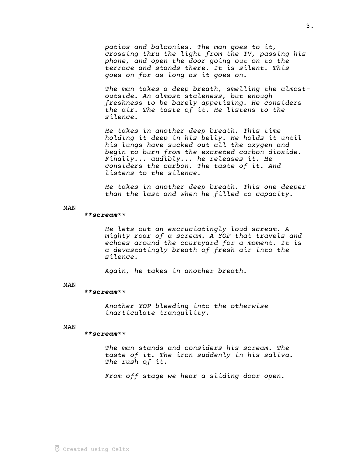patios and balconies. The man goes to it, crossing thru the light from the TV, passing his phone, and open the door going out on to the terrace and stands there. It is silent. This goes on for as long as it goes on.

The man takes a deep breath, smelling the almostoutside. An almost staleness, but enough freshness to be barely appetizing. He considers the air. The taste of it. He listens to the silence.

He takes in another deep breath. This time holding it deep in his belly. He holds it until his lungs have sucked out all the oxygen and begin to burn from the excreted carbon dioxide. Finally... audibly... he releases it. He considers the carbon. The taste of it. And listens to the silence.

He takes in another deep breath. This one deeper than the last and when he filled to capacity.

MAN

### \*\*scream\*\*

He lets out an excruciatingly loud scream. A mighty roar of a scream. A YOP that travels and echoes around the courtyard for a moment. It is a devastatingly breath of fresh air into the silence.

Again, he takes in another breath.

### MAN

### \*\*scream\*\*

Another YOP bleeding into the otherwise inarticulate tranquility.

# MAN

### \*\*scream\*\*

The man stands and considers his scream. The taste of it. The iron suddenly in his saliva. The rush of it.

From off stage we hear a sliding door open.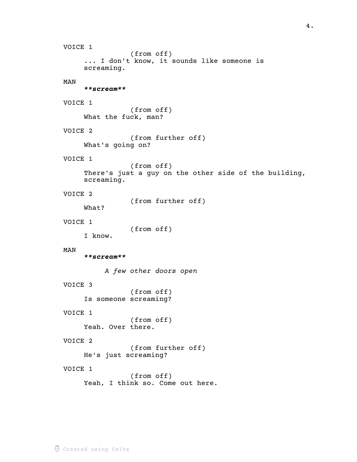```
VOICE 1
                (from off)
     ... I don't know, it sounds like someone is 
     screaming.
MAN
      **scream**
VOICE 1
                (from off)
     What the fuck, man?
VOICE 2
                (from further off)
     What's going on?
VOICE 1
                (from off)
     There's just a guy on the other side of the building, 
     screaming.
VOICE 2
                (from further off)
     What?
VOICE 1
                (from off)
     I know.
MAN
      **scream**
          A few other doors open
VOICE 3
                (from off)
     Is someone screaming?
VOICE 1
                (from off)
     Yeah. Over there.
VOICE 2
                (from further off)
     He's just screaming?
VOICE 1
                (from off)
     Yeah, I think so. Come out here.
```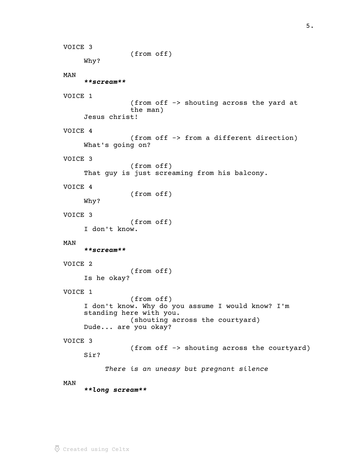```
VOICE 3
                (from off)
     Why?
MAN
      **scream**
VOICE 1
                (from off -> shouting across the yard at 
                the man)
     Jesus christ!
VOICE 4
                (from off -> from a different direction)
     What's going on?
VOICE 3
                (from off)
     That guy is just screaming from his balcony.
VOICE 4
                (from off)
     Why?
VOICE 3
                (from off)
     I don't know.
MAN
      **scream**
VOICE 2
                (from off)
     Is he okay?
VOICE 1
                (from off)
     I don't know. Why do you assume I would know? I'm 
     standing here with you.
                (shouting across the courtyard)
     Dude... are you okay?
VOICE 3
                (from off -> shouting across the courtyard)
     Sir?
          There is an uneasy but pregnant silence
MAN
      **long scream**
```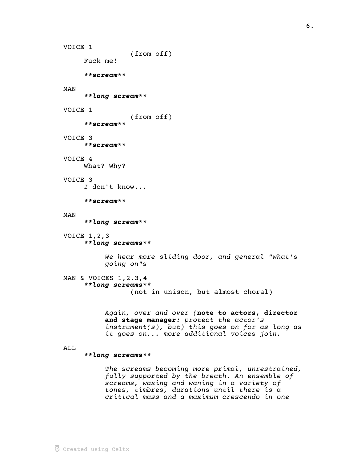```
\overline{\odot} Created using Celtx
```

```
(from off)
     Fuck me!
      **scream**
MAN
      **long scream**
VOICE 1
                (from off)
      **scream**
VOICE 3
      **scream**
VOICE 4
     What? Why?
VOICE 3
     I don't know...
      **scream**
MAN
      **long scream**
VOICE 1,2,3
      **long screams**
          We hear more sliding door, and general "what's 
          going on"s
MAN & VOICES 1, 2, 3, 4
      **long screams**
                 (not in unison, but almost choral)
          Again, over and over (note to actors, director
          and stage manager: protect the actor's
```
ALL

VOICE 1

# \*\*long screams\*\*

The screams becoming more primal, unrestrained, fully supported by the breath. An ensemble of screams, waxing and waning in a variety of tones, timbres, durations until there is a critical mass and a maximum crescendo in one

instrument(s), but) this goes on for as long as

it goes on... more additional voices join.